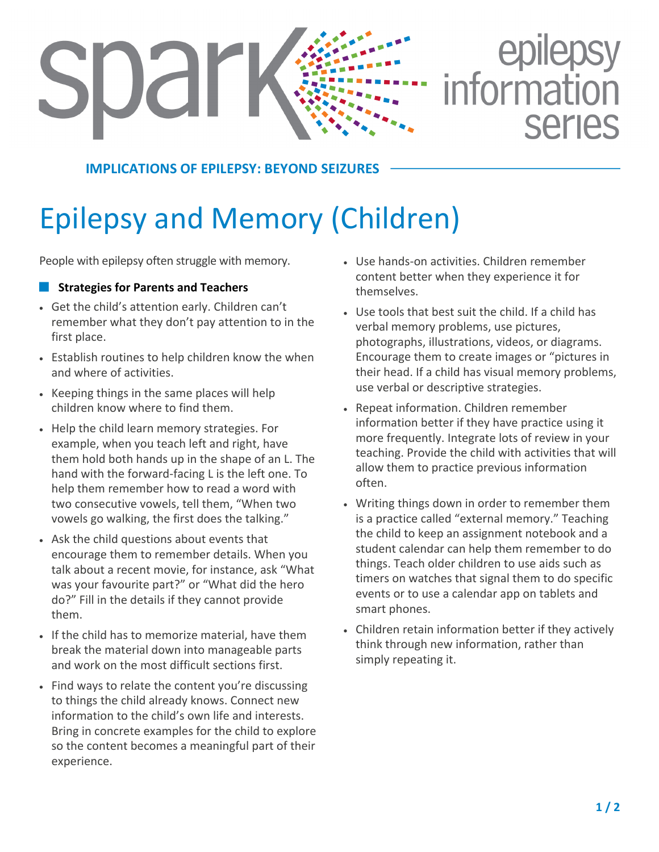# epilepsy<br>information Jdr SALIAS

**IMPLICATIONS OF EPILEPSY: BEYOND SEIZURES**

## Epilepsy and Memory (Children)

People with epilepsy often struggle with memory.

### **E.** Strategies for Parents and Teachers

- Get the child's attention early. Children can't remember what they don't pay attention to in the first place.
- Establish routines to help children know the when and where of activities.
- Keeping things in the same places will help children know where to find them.
- Help the child learn memory strategies. For example, when you teach left and right, have them hold both hands up in the shape of an L. The hand with the forward-facing L is the left one. To help them remember how to read a word with two consecutive vowels, tell them, "When two vowels go walking, the first does the talking."
- Ask the child questions about events that encourage them to remember details. When you talk about a recent movie, for instance, ask "What was your favourite part?" or "What did the hero do?" Fill in the details if they cannot provide them.
- If the child has to memorize material, have them break the material down into manageable parts and work on the most difficult sections first.
- Find ways to relate the content you're discussing to things the child already knows. Connect new information to the child's own life and interests. Bring in concrete examples for the child to explore so the content becomes a meaningful part of their experience.
- Use hands-on activities. Children remember content better when they experience it for themselves.
- Use tools that best suit the child. If a child has verbal memory problems, use pictures, photographs, illustrations, videos, or diagrams. Encourage them to create images or "pictures in their head. If a child has visual memory problems, use verbal or descriptive strategies.
- Repeat information. Children remember information better if they have practice using it more frequently. Integrate lots of review in your teaching. Provide the child with activities that will allow them to practice previous information often.
- Writing things down in order to remember them is a practice called "external memory." Teaching the child to keep an assignment notebook and a student calendar can help them remember to do things. Teach older children to use aids such as timers on watches that signal them to do specific events or to use a calendar app on tablets and smart phones.
- Children retain information better if they actively think through new information, rather than simply repeating it.